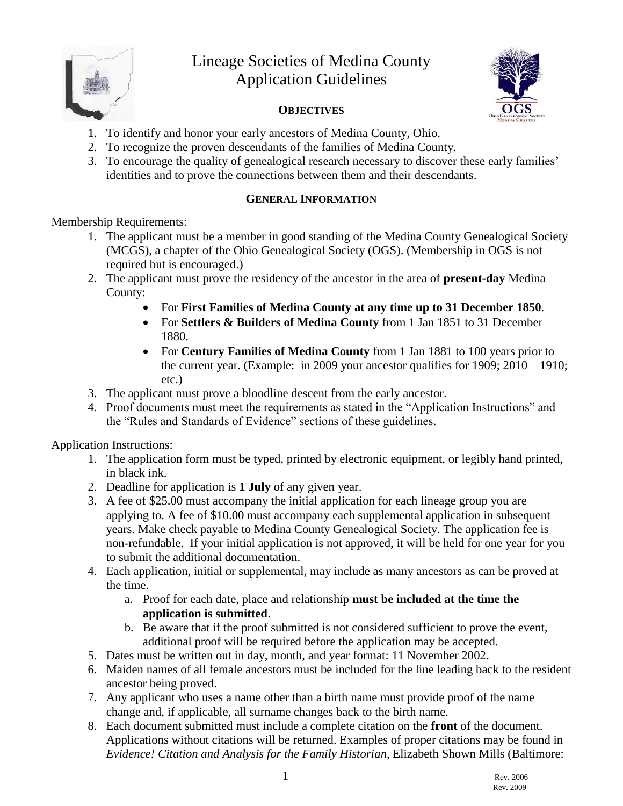

# Lineage Societies of Medina County Application Guidelines



#### **OBJECTIVES**

- 1. To identify and honor your early ancestors of Medina County, Ohio.
- 2. To recognize the proven descendants of the families of Medina County.
- 3. To encourage the quality of genealogical research necessary to discover these early families' identities and to prove the connections between them and their descendants.

# **GENERAL INFORMATION**

Membership Requirements:

- 1. The applicant must be a member in good standing of the Medina County Genealogical Society (MCGS), a chapter of the Ohio Genealogical Society (OGS). (Membership in OGS is not required but is encouraged.)
- 2. The applicant must prove the residency of the ancestor in the area of **present-day** Medina County:
	- For **First Families of Medina County at any time up to 31 December 1850**.
	- For **Settlers & Builders of Medina County** from 1 Jan 1851 to 31 December 1880.
	- For **Century Families of Medina County** from 1 Jan 1881 to 100 years prior to the current year. (Example: in 2009 your ancestor qualifies for 1909; 2010 – 1910; etc.)
- 3. The applicant must prove a bloodline descent from the early ancestor.
- 4. Proof documents must meet the requirements as stated in the "Application Instructions" and the "Rules and Standards of Evidence" sections of these guidelines.

Application Instructions:

- 1. The application form must be typed, printed by electronic equipment, or legibly hand printed, in black ink.
- 2. Deadline for application is **1 July** of any given year.
- 3. A fee of \$25.00 must accompany the initial application for each lineage group you are applying to. A fee of \$10.00 must accompany each supplemental application in subsequent years. Make check payable to Medina County Genealogical Society. The application fee is non-refundable. If your initial application is not approved, it will be held for one year for you to submit the additional documentation.
- 4. Each application, initial or supplemental, may include as many ancestors as can be proved at the time.
	- a. Proof for each date, place and relationship **must be included at the time the application is submitted**.
	- b. Be aware that if the proof submitted is not considered sufficient to prove the event, additional proof will be required before the application may be accepted.
- 5. Dates must be written out in day, month, and year format: 11 November 2002.
- 6. Maiden names of all female ancestors must be included for the line leading back to the resident ancestor being proved.
- 7. Any applicant who uses a name other than a birth name must provide proof of the name change and, if applicable, all surname changes back to the birth name.
- 8. Each document submitted must include a complete citation on the **front** of the document. Applications without citations will be returned. Examples of proper citations may be found in *Evidence! Citation and Analysis for the Family Historian*, Elizabeth Shown Mills (Baltimore: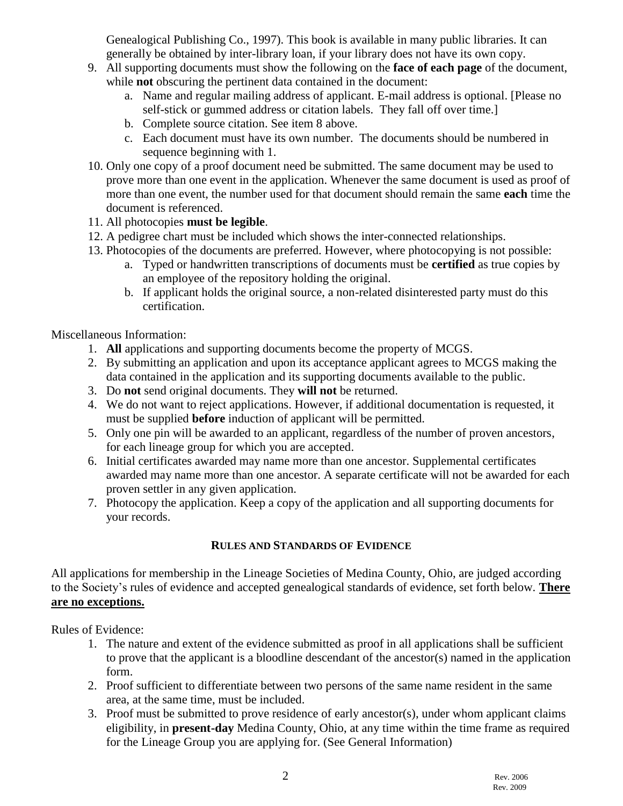Genealogical Publishing Co., 1997). This book is available in many public libraries. It can generally be obtained by inter-library loan, if your library does not have its own copy.

- 9. All supporting documents must show the following on the **face of each page** of the document, while **not** obscuring the pertinent data contained in the document:
	- a. Name and regular mailing address of applicant. E-mail address is optional. [Please no self-stick or gummed address or citation labels. They fall off over time.]
	- b. Complete source citation. See item 8 above.
	- c. Each document must have its own number. The documents should be numbered in sequence beginning with 1.
- 10. Only one copy of a proof document need be submitted. The same document may be used to prove more than one event in the application. Whenever the same document is used as proof of more than one event, the number used for that document should remain the same **each** time the document is referenced.
- 11. All photocopies **must be legible**.
- 12. A pedigree chart must be included which shows the inter-connected relationships.
- 13. Photocopies of the documents are preferred. However, where photocopying is not possible:
	- a. Typed or handwritten transcriptions of documents must be **certified** as true copies by an employee of the repository holding the original.
	- b. If applicant holds the original source, a non-related disinterested party must do this certification.

Miscellaneous Information:

- 1. **All** applications and supporting documents become the property of MCGS.
- 2. By submitting an application and upon its acceptance applicant agrees to MCGS making the data contained in the application and its supporting documents available to the public.
- 3. Do **not** send original documents. They **will not** be returned.
- 4. We do not want to reject applications. However, if additional documentation is requested, it must be supplied **before** induction of applicant will be permitted.
- 5. Only one pin will be awarded to an applicant, regardless of the number of proven ancestors, for each lineage group for which you are accepted.
- 6. Initial certificates awarded may name more than one ancestor. Supplemental certificates awarded may name more than one ancestor. A separate certificate will not be awarded for each proven settler in any given application.
- 7. Photocopy the application. Keep a copy of the application and all supporting documents for your records.

# **RULES AND STANDARDS OF EVIDENCE**

All applications for membership in the Lineage Societies of Medina County, Ohio, are judged according to the Society's rules of evidence and accepted genealogical standards of evidence, set forth below. **There are no exceptions.**

Rules of Evidence:

- 1. The nature and extent of the evidence submitted as proof in all applications shall be sufficient to prove that the applicant is a bloodline descendant of the ancestor(s) named in the application form.
- 2. Proof sufficient to differentiate between two persons of the same name resident in the same area, at the same time, must be included.
- 3. Proof must be submitted to prove residence of early ancestor(s), under whom applicant claims eligibility, in **present-day** Medina County, Ohio, at any time within the time frame as required for the Lineage Group you are applying for. (See General Information)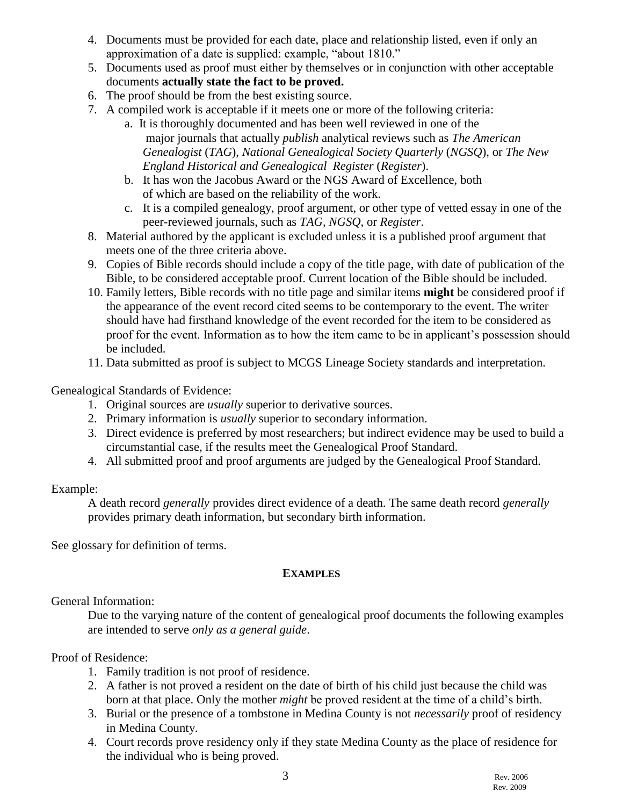- 4. Documents must be provided for each date, place and relationship listed, even if only an approximation of a date is supplied: example, "about 1810."
- 5. Documents used as proof must either by themselves or in conjunction with other acceptable documents **actually state the fact to be proved.**
- 6. The proof should be from the best existing source.
- 7. A compiled work is acceptable if it meets one or more of the following criteria:
	- a. It is thoroughly documented and has been well reviewed in one of the major journals that actually *publish* analytical reviews such as *The American Genealogist* (*TAG*), *National Genealogical Society Quarterly* (*NGSQ*), or *The New England Historical and Genealogical Register* (*Register*).
	- b. It has won the Jacobus Award or the NGS Award of Excellence, both of which are based on the reliability of the work.
	- c. It is a compiled genealogy, proof argument, or other type of vetted essay in one of the peer-reviewed journals, such as *TAG, NGSQ*, or *Register*.
- 8. Material authored by the applicant is excluded unless it is a published proof argument that meets one of the three criteria above.
- 9. Copies of Bible records should include a copy of the title page, with date of publication of the Bible, to be considered acceptable proof. Current location of the Bible should be included.
- 10. Family letters, Bible records with no title page and similar items **might** be considered proof if the appearance of the event record cited seems to be contemporary to the event. The writer should have had firsthand knowledge of the event recorded for the item to be considered as proof for the event. Information as to how the item came to be in applicant's possession should be included.
- 11. Data submitted as proof is subject to MCGS Lineage Society standards and interpretation.

Genealogical Standards of Evidence:

- 1. Original sources are *usually* superior to derivative sources.
- 2. Primary information is *usually* superior to secondary information.
- 3. Direct evidence is preferred by most researchers; but indirect evidence may be used to build a circumstantial case, if the results meet the Genealogical Proof Standard.
- 4. All submitted proof and proof arguments are judged by the Genealogical Proof Standard.

#### Example:

A death record *generally* provides direct evidence of a death. The same death record *generally* provides primary death information, but secondary birth information.

See glossary for definition of terms.

# **EXAMPLES**

General Information:

Due to the varying nature of the content of genealogical proof documents the following examples are intended to serve *only as a general guide*.

# Proof of Residence:

- 1. Family tradition is not proof of residence.
- 2. A father is not proved a resident on the date of birth of his child just because the child was born at that place. Only the mother *might* be proved resident at the time of a child's birth.
- 3. Burial or the presence of a tombstone in Medina County is not *necessarily* proof of residency in Medina County.
- 4. Court records prove residency only if they state Medina County as the place of residence for the individual who is being proved.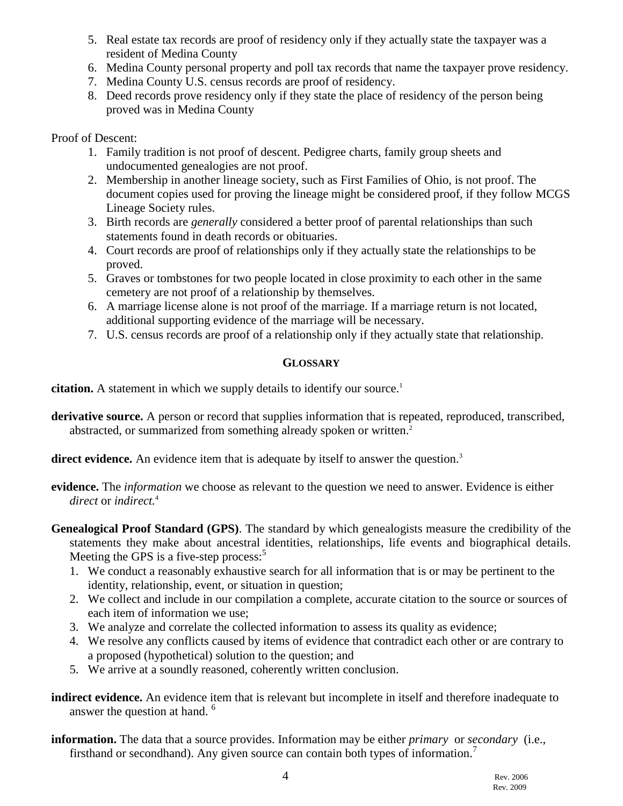- 5. Real estate tax records are proof of residency only if they actually state the taxpayer was a resident of Medina County
- 6. Medina County personal property and poll tax records that name the taxpayer prove residency.
- 7. Medina County U.S. census records are proof of residency.
- 8. Deed records prove residency only if they state the place of residency of the person being proved was in Medina County

#### Proof of Descent:

- 1. Family tradition is not proof of descent. Pedigree charts, family group sheets and undocumented genealogies are not proof.
- 2. Membership in another lineage society, such as First Families of Ohio, is not proof. The document copies used for proving the lineage might be considered proof, if they follow MCGS Lineage Society rules.
- 3. Birth records are *generally* considered a better proof of parental relationships than such statements found in death records or obituaries.
- 4. Court records are proof of relationships only if they actually state the relationships to be proved.
- 5. Graves or tombstones for two people located in close proximity to each other in the same cemetery are not proof of a relationship by themselves.
- 6. A marriage license alone is not proof of the marriage. If a marriage return is not located, additional supporting evidence of the marriage will be necessary.
- 7. U.S. census records are proof of a relationship only if they actually state that relationship.

# **GLOSSARY**

**citation.** A statement in which we supply details to identify our source.<sup>1</sup>

- **derivative source.** A person or record that supplies information that is repeated, reproduced, transcribed, abstracted, or summarized from something already spoken or written.<sup>2</sup>
- **direct evidence.** An evidence item that is adequate by itself to answer the question.<sup>3</sup>
- **evidence.** The *information* we choose as relevant to the question we need to answer. Evidence is either *direct* or *indirect.*<sup>4</sup>
- **Genealogical Proof Standard (GPS)**. The standard by which genealogists measure the credibility of the statements they make about ancestral identities, relationships, life events and biographical details. Meeting the GPS is a five-step process: $5$ 
	- 1. We conduct a reasonably exhaustive search for all information that is or may be pertinent to the identity, relationship, event, or situation in question;
	- 2. We collect and include in our compilation a complete, accurate citation to the source or sources of each item of information we use;
	- 3. We analyze and correlate the collected information to assess its quality as evidence;
	- 4. We resolve any conflicts caused by items of evidence that contradict each other or are contrary to a proposed (hypothetical) solution to the question; and
	- 5. We arrive at a soundly reasoned, coherently written conclusion.
- **indirect evidence.** An evidence item that is relevant but incomplete in itself and therefore inadequate to answer the question at hand. <sup>6</sup>
- **information.** The data that a source provides. Information may be either *primary* or *secondary* (i.e., firsthand or secondhand). Any given source can contain both types of information.<sup>7</sup>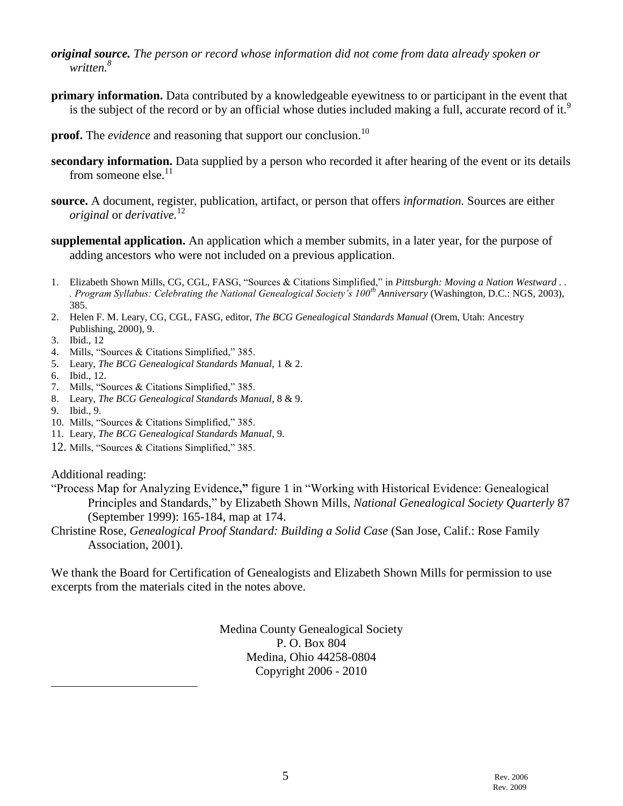- *original source. The person or record whose information did not come from data already spoken or written.<sup>8</sup>*
- **primary information.** Data contributed by a knowledgeable eyewitness to or participant in the event that is the subject of the record or by an official whose duties included making a full, accurate record of it.<sup>9</sup>
- **proof.** The *evidence* and reasoning that support our conclusion.<sup>10</sup>
- **secondary information.** Data supplied by a person who recorded it after hearing of the event or its details from someone else. $^{11}$
- **source.** A document, register, publication, artifact, or person that offers *information.* Sources are either *original* or *derivative.*<sup>12</sup>
- **supplemental application.** An application which a member submits, in a later year, for the purpose of adding ancestors who were not included on a previous application.
- 1. Elizabeth Shown Mills, CG, CGL, FASG, "Sources & Citations Simplified," in *Pittsburgh: Moving a Nation Westward . . . Program Syllabus: Celebrating the National Genealogical Society's 100th Anniversary* (Washington, D.C.: NGS, 2003), 385.
- 2. Helen F. M. Leary, CG, CGL, FASG, editor, *The BCG Genealogical Standards Manual* (Orem, Utah: Ancestry Publishing, 2000), 9.
- 3. Ibid., 12
- 4. Mills, "Sources & Citations Simplified," 385.
- 5. Leary, *The BCG Genealogical Standards Manual*, 1 & 2.
- 6. Ibid., 12.
- 7. Mills, "Sources & Citations Simplified," 385.
- 8. Leary, *The BCG Genealogical Standards Manual*, 8 & 9.
- 9. Ibid., 9.

 $\overline{a}$ 

- 10. Mills, "Sources & Citations Simplified," 385.
- 11. Leary, *The BCG Genealogical Standards Manual*, 9.
- 12. Mills, "Sources & Citations Simplified," 385.

Additional reading:

- "Process Map for Analyzing Evidence**,"** figure 1 in "Working with Historical Evidence: Genealogical Principles and Standards," by Elizabeth Shown Mills, *National Genealogical Society Quarterly* 87 (September 1999): 165-184, map at 174.
- Christine Rose, *Genealogical Proof Standard: Building a Solid Case* (San Jose, Calif.: Rose Family Association, 2001).

We thank the Board for Certification of Genealogists and Elizabeth Shown Mills for permission to use excerpts from the materials cited in the notes above.

> Medina County Genealogical Society P. O. Box 804 Medina, Ohio 44258-0804 Copyright 2006 - 2010